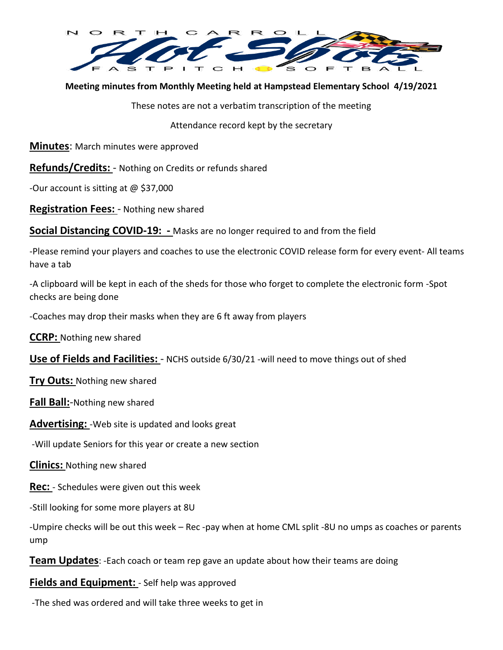

**Meeting minutes from Monthly Meeting held at Hampstead Elementary School 4/19/2021**

These notes are not a verbatim transcription of the meeting

Attendance record kept by the secretary

**Minutes**: March minutes were approved

**Refunds/Credits:** - Nothing on Credits or refunds shared

-Our account is sitting at @ \$37,000

**Registration Fees:** - Nothing new shared

**Social Distancing COVID-19: -** Masks are no longer required to and from the field

-Please remind your players and coaches to use the electronic COVID release form for every event- All teams have a tab

-A clipboard will be kept in each of the sheds for those who forget to complete the electronic form -Spot checks are being done

-Coaches may drop their masks when they are 6 ft away from players

**CCRP:** Nothing new shared

**Use of Fields and Facilities:** - NCHS outside 6/30/21 -will need to move things out of shed

**Try Outs:** Nothing new shared

**Fall Ball:**-Nothing new shared

**Advertising:** -Web site is updated and looks great

-Will update Seniors for this year or create a new section

**Clinics:** Nothing new shared

**Rec:** - Schedules were given out this week

-Still looking for some more players at 8U

-Umpire checks will be out this week – Rec -pay when at home CML split -8U no umps as coaches or parents ump

**Team Updates**: -Each coach or team rep gave an update about how their teams are doing

**Fields and Equipment:** - Self help was approved

-The shed was ordered and will take three weeks to get in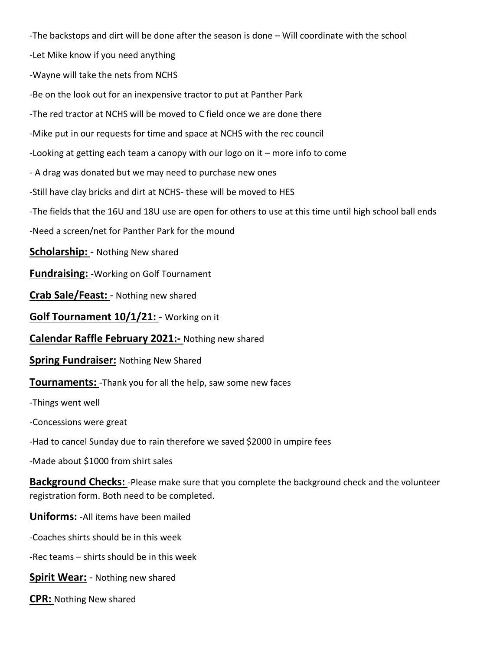-The backstops and dirt will be done after the season is done – Will coordinate with the school

-Let Mike know if you need anything

-Wayne will take the nets from NCHS

-Be on the look out for an inexpensive tractor to put at Panther Park

-The red tractor at NCHS will be moved to C field once we are done there

-Mike put in our requests for time and space at NCHS with the rec council

-Looking at getting each team a canopy with our logo on it – more info to come

- A drag was donated but we may need to purchase new ones

-Still have clay bricks and dirt at NCHS- these will be moved to HES

-The fields that the 16U and 18U use are open for others to use at this time until high school ball ends

-Need a screen/net for Panther Park for the mound

**Scholarship:** - Nothing New shared

**Fundraising:** -Working on Golf Tournament

**Crab Sale/Feast:** - Nothing new shared

**Golf Tournament 10/1/21:** - Working on it

**Calendar Raffle February 2021:-** Nothing new shared

**Spring Fundraiser:** Nothing New Shared

**Tournaments:** -Thank you for all the help, saw some new faces

-Things went well

-Concessions were great

-Had to cancel Sunday due to rain therefore we saved \$2000 in umpire fees

-Made about \$1000 from shirt sales

**Background Checks:** -Please make sure that you complete the background check and the volunteer registration form. Both need to be completed.

**Uniforms:** -All items have been mailed

-Coaches shirts should be in this week

-Rec teams – shirts should be in this week

**Spirit Wear:** - Nothing new shared

**CPR:** Nothing New shared